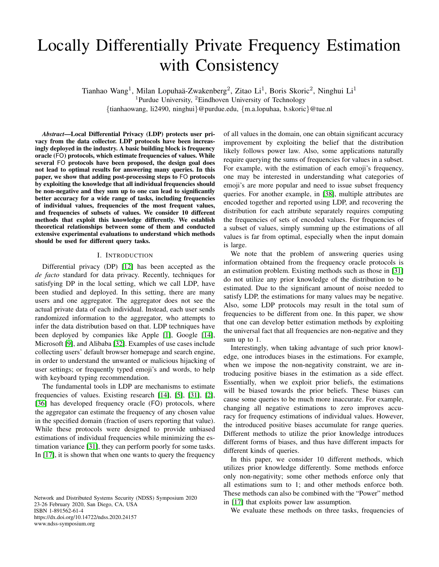# Locally Differentially Private Frequency Estimation with Consistency

Tianhao Wang<sup>1</sup>, Milan Lopuhaä-Zwakenberg<sup>2</sup>, Zitao Li<sup>1</sup>, Boris Skoric<sup>2</sup>, Ninghui Li<sup>1</sup>

<sup>1</sup>Purdue University,  ${}^{2}$ Eindhoven University of Technology

{tianhaowang, li2490, ninghui}@purdue.edu, {m.a.lopuhaa, b.skoric}@tue.nl

*Abstract*—Local Differential Privacy (LDP) protects user privacy from the data collector. LDP protocols have been increasingly deployed in the industry. A basic building block is frequency oracle (FO) protocols, which estimate frequencies of values. While several FO protocols have been proposed, the design goal does not lead to optimal results for answering many queries. In this paper, we show that adding post-processing steps to FO protocols by exploiting the knowledge that all individual frequencies should be non-negative and they sum up to one can lead to significantly better accuracy for a wide range of tasks, including frequencies of individual values, frequencies of the most frequent values, and frequencies of subsets of values. We consider 10 different methods that exploit this knowledge differently. We establish theoretical relationships between some of them and conducted extensive experimental evaluations to understand which methods should be used for different query tasks.

## I. INTRODUCTION

Differential privacy (DP) [\[12\]](#page-13-0) has been accepted as the *de facto* standard for data privacy. Recently, techniques for satisfying DP in the local setting, which we call LDP, have been studied and deployed. In this setting, there are many users and one aggregator. The aggregator does not see the actual private data of each individual. Instead, each user sends randomized information to the aggregator, who attempts to infer the data distribution based on that. LDP techniques have been deployed by companies like Apple [\[1\]](#page-13-1), Google [\[14\]](#page-13-2), Microsoft [\[9\]](#page-13-3), and Alibaba [\[32\]](#page-14-0). Examples of use cases include collecting users' default browser homepage and search engine, in order to understand the unwanted or malicious hijacking of user settings; or frequently typed emoji's and words, to help with keyboard typing recommendation.

The fundamental tools in LDP are mechanisms to estimate frequencies of values. Existing research [\[14\]](#page-13-2), [\[5\]](#page-13-4), [\[31\]](#page-14-1), [\[2\]](#page-13-5), [\[36\]](#page-14-2) has developed frequency oracle (FO) protocols, where the aggregator can estimate the frequency of any chosen value in the specified domain (fraction of users reporting that value). While these protocols were designed to provide unbiased estimations of individual frequencies while minimizing the estimation variance [\[31\]](#page-14-1), they can perform poorly for some tasks. In [\[17\]](#page-14-3), it is shown that when one wants to query the frequency

Network and Distributed Systems Security (NDSS) Symposium 2020 23-26 February 2020, San Diego, CA, USA ISBN 1-891562-61-4 https://dx.doi.org/10.14722/ndss.2020.24157 www.ndss-symposium.org

of all values in the domain, one can obtain significant accuracy improvement by exploiting the belief that the distribution likely follows power law. Also, some applications naturally require querying the sums of frequencies for values in a subset. For example, with the estimation of each emoji's frequency, one may be interested in understanding what categories of emoji's are more popular and need to issue subset frequency queries. For another example, in [\[38\]](#page-14-4), multiple attributes are encoded together and reported using LDP, and recovering the distribution for each attribute separately requires computing the frequencies of sets of encoded values. For frequencies of a subset of values, simply summing up the estimations of all values is far from optimal, especially when the input domain is large.

We note that the problem of answering queries using information obtained from the frequency oracle protocols is an estimation problem. Existing methods such as those in [\[31\]](#page-14-1) do not utilize any prior knowledge of the distribution to be estimated. Due to the significant amount of noise needed to satisfy LDP, the estimations for many values may be negative. Also, some LDP protocols may result in the total sum of frequencies to be different from one. In this paper, we show that one can develop better estimation methods by exploiting the universal fact that all frequencies are non-negative and they sum up to 1.

Interestingly, when taking advantage of such prior knowledge, one introduces biases in the estimations. For example, when we impose the non-negativity constraint, we are introducing positive biases in the estimation as a side effect. Essentially, when we exploit prior beliefs, the estimations will be biased towards the prior beliefs. These biases can cause some queries to be much more inaccurate. For example, changing all negative estimations to zero improves accuracy for frequency estimations of individual values. However, the introduced positive biases accumulate for range queries. Different methods to utilize the prior knowledge introduces different forms of biases, and thus have different impacts for different kinds of queries.

In this paper, we consider 10 different methods, which utilizes prior knowledge differently. Some methods enforce only non-negativity; some other methods enforce only that all estimations sum to 1; and other methods enforce both. These methods can also be combined with the "Power" method in [\[17\]](#page-14-3) that exploits power law assumption.

We evaluate these methods on three tasks, frequencies of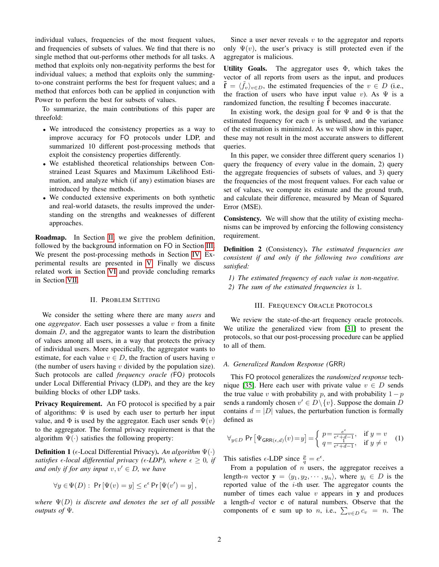individual values, frequencies of the most frequent values, and frequencies of subsets of values. We find that there is no single method that out-performs other methods for all tasks. A method that exploits only non-negativity performs the best for individual values; a method that exploits only the summingto-one constraint performs the best for frequent values; and a method that enforces both can be applied in conjunction with Power to perform the best for subsets of values.

To summarize, the main contributions of this paper are threefold:

- We introduced the consistency properties as a way to improve accuracy for FO protocols under LDP, and summarized 10 different post-processing methods that exploit the consistency properties differently.
- We established theoretical relationships between Constrained Least Squares and Maximum Likelihood Estimation, and analyze which (if any) estimation biases are introduced by these methods.
- We conducted extensive experiments on both synthetic and real-world datasets, the results improved the understanding on the strengths and weaknesses of different approaches.

Roadmap. In Section [II,](#page-1-0) we give the problem definition, followed by the background information on FO in Section [III.](#page-1-1) We present the post-processing methods in Section [IV.](#page-3-0) Experimental results are presented in [V.](#page-6-0) Finally we discuss related work in Section [VI](#page-13-6) and provide concluding remarks in Section [VII.](#page-13-7)

#### II. PROBLEM SETTING

<span id="page-1-0"></span>We consider the setting where there are many *users* and one *aggregator*. Each user possesses a value v from a finite domain D, and the aggregator wants to learn the distribution of values among all users, in a way that protects the privacy of individual users. More specifically, the aggregator wants to estimate, for each value  $v \in D$ , the fraction of users having v (the number of users having  $v$  divided by the population size). Such protocols are called *frequency oracle (*FO*)* protocols under Local Differential Privacy (LDP), and they are the key building blocks of other LDP tasks.

**Privacy Requirement.** An FO protocol is specified by a pair of algorithms:  $\Psi$  is used by each user to perturb her input value, and  $\Phi$  is used by the aggregator. Each user sends  $\Psi(v)$ to the aggregator. The formal privacy requirement is that the algorithm  $\Psi(\cdot)$  satisfies the following property:

Definition 1 ( $\epsilon$ -Local Differential Privacy). *An algorithm*  $\Psi(\cdot)$ *satisfies*  $\epsilon$ -local differential privacy ( $\epsilon$ -LDP), where  $\epsilon \geq 0$ , if *and only if for any input*  $v, v' \in D$ *, we have* 

$$
\forall y \in \Psi(D): \Pr[\Psi(v) = y] \le e^{\epsilon} \Pr[\Psi(v') = y],
$$

*where*  $\Psi(D)$  *is discrete and denotes the set of all possible outputs of* Ψ*.*

Since a user never reveals  $v$  to the aggregator and reports only  $\Psi(v)$ , the user's privacy is still protected even if the aggregator is malicious.

Utility Goals. The aggregator uses  $\Phi$ , which takes the vector of all reports from users as the input, and produces  $\tilde{\mathbf{f}} = \langle \tilde{f}_v \rangle_{v \in D}$ , the estimated frequencies of the  $v \in D$  (i.e., the fraction of users who have input value v). As  $\Psi$  is a randomized function, the resulting f becomes inaccurate.

In existing work, the design goal for  $\Psi$  and  $\Phi$  is that the estimated frequency for each  $v$  is unbiased, and the variance of the estimation is minimized. As we will show in this paper, these may not result in the most accurate answers to different queries.

In this paper, we consider three different query scenarios 1) query the frequency of every value in the domain, 2) query the aggregate frequencies of subsets of values, and 3) query the frequencies of the most frequent values. For each value or set of values, we compute its estimate and the ground truth, and calculate their difference, measured by Mean of Squared Error (MSE).

Consistency. We will show that the utility of existing mechanisms can be improved by enforcing the following consistency requirement.

<span id="page-1-3"></span>Definition 2 (Consistency). *The estimated frequencies are consistent if and only if the following two conditions are satisfied:*

*1) The estimated frequency of each value is non-negative. 2) The sum of the estimated frequencies is* 1*.*

#### III. FREQUENCY ORACLE PROTOCOLS

<span id="page-1-1"></span>We review the state-of-the-art frequency oracle protocols. We utilize the generalized view from [\[31\]](#page-14-1) to present the protocols, so that our post-processing procedure can be applied to all of them.

#### *A. Generalized Random Response (*GRR*)*

This FO protocol generalizes the *randomized response* tech-nique [\[35\]](#page-14-5). Here each user with private value  $v \in D$  sends the true value v with probability p, and with probability  $1-p$ sends a randomly chosen  $v' \in D \setminus \{v\}$ . Suppose the domain D contains  $d = |D|$  values, the perturbation function is formally defined as

<span id="page-1-2"></span>
$$
\forall_{y \in D} \Pr\left[\Psi_{\mathsf{GRR}(\epsilon,d)}(v) = y\right] = \begin{cases} p = \frac{e^{\epsilon}}{e^{\epsilon} + d - 1}, & \text{if } y = v \\ q = \frac{e^{\epsilon} + d - 1}{e^{\epsilon} + d - 1}, & \text{if } y \neq v \end{cases} (1)
$$

This satisfies  $\epsilon$ -LDP since  $\frac{p}{q} = e^{\epsilon}$ .

From a population of  $n$  users, the aggregator receives a length-n vector  $y = \langle y_1, y_2, \dots, y_n \rangle$ , where  $y_i \in D$  is the reported value of the  $i$ -th user. The aggregator counts the number of times each value  $v$  appears in  $v$  and produces a length-d vector c of natural numbers. Observe that the components of **c** sum up to *n*, i.e.,  $\sum_{v \in D} c_v = n$ . The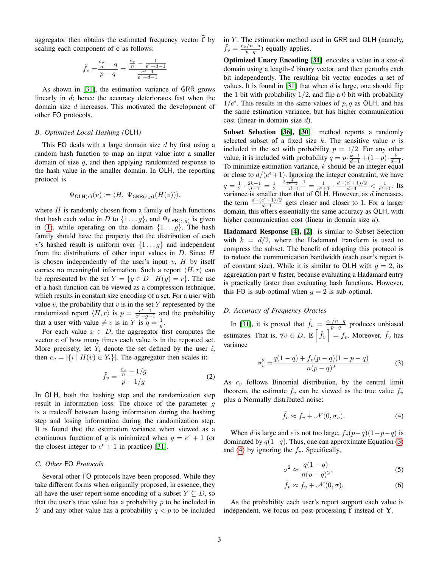aggregator then obtains the estimated frequency vector  $\tilde{f}$  by scaling each component of c as follows:

$$
\tilde{f}_v = \frac{\frac{c_v}{n} - q}{p - q} = \frac{\frac{c_v}{n} - \frac{1}{e^{\epsilon} + d - 1}}{\frac{e^{\epsilon} - 1}{e^{\epsilon} + d - 1}}
$$

As shown in [\[31\]](#page-14-1), the estimation variance of GRR grows linearly in d; hence the accuracy deteriorates fast when the domain size d increases. This motivated the development of other FO protocols.

## *B. Optimized Local Hashing (*OLH*)*

This FO deals with a large domain size  $d$  by first using a random hash function to map an input value into a smaller domain of size g, and then applying randomized response to the hash value in the smaller domain. In OLH, the reporting protocol is

$$
\Psi_{\mathsf{OLH}(\epsilon)}(v) \coloneqq \langle H, \ \Psi_{\mathsf{GRR}(\epsilon,g)}(H(v)) \rangle,
$$

where  $H$  is randomly chosen from a family of hash functions that hash each value in D to  $\{1 \dots g\}$ , and  $\Psi_{\text{GRR}(\epsilon,g)}$  is given in [\(1\)](#page-1-2), while operating on the domain  $\{1 \dots g\}$ . The hash family should have the property that the distribution of each v's hashed result is uniform over  $\{1 \dots g\}$  and independent from the distributions of other input values in  $D$ . Since  $H$ is chosen independently of the user's input v,  $H$  by itself carries no meaningful information. Such a report  $\langle H, r \rangle$  can be represented by the set  $Y = \{y \in D \mid H(y) = r\}$ . The use of a hash function can be viewed as a compression technique, which results in constant size encoding of a set. For a user with value v, the probability that v is in the set Y represented by the randomized report  $\langle H, r \rangle$  is  $p = \frac{e^{\epsilon}-1}{e^{\epsilon}+g-1}$  and the probability that a user with value  $\neq v$  is in Y is  $q = \frac{1}{g}$ .

For each value  $x \in D$ , the aggregator first computes the vector c of how many times each value is in the reported set. More precisely, let  $Y_i$  denote the set defined by the user i, then  $c_v = |\{i \mid H(v) \in Y_i\}|$ . The aggregator then scales it:

$$
\tilde{f}_v = \frac{\frac{c_v}{n} - 1/g}{p - 1/g} \tag{2}
$$

In OLH, both the hashing step and the randomization step result in information loss. The choice of the parameter  $q$ is a tradeoff between losing information during the hashing step and losing information during the randomization step. It is found that the estimation variance when viewed as a continuous function of g is minimized when  $g = e^{\epsilon} + 1$  (or the closest integer to  $e^{\epsilon} + 1$  in practice) [\[31\]](#page-14-1).

#### *C. Other* FO *Protocols*

Several other FO protocols have been proposed. While they take different forms when originally proposed, in essence, they all have the user report some encoding of a subset  $Y \subseteq D$ , so that the user's true value has a probability  $p$  to be included in Y and any other value has a probability  $q < p$  to be included in  $Y$ . The estimation method used in GRR and OLH (namely,  $\tilde{f}_v = \frac{c_v/n-q}{p-q}$  equally applies.

**Optimized Unary Encoding [\[31\]](#page-14-1)** encodes a value in a size- $d$ domain using a length- $d$  binary vector, and then perturbs each bit independently. The resulting bit vector encodes a set of values. It is found in [\[31\]](#page-14-1) that when  $d$  is large, one should flip the 1 bit with probability  $1/2$ , and flip a 0 bit with probability  $1/e^{\epsilon}$ . This results in the same values of p, q as OLH, and has the same estimation variance, but has higher communication cost (linear in domain size d).

Subset Selection [\[36\]](#page-14-2), [\[30\]](#page-14-6) method reports a randomly selected subset of a fixed size  $k$ . The sensitive value  $v$  is included in the set with probability  $p = 1/2$ . For any other value, it is included with probability  $q = p \cdot \frac{k-1}{d-1} + (1-p) \cdot \frac{k}{d-1}$ . To minimize estimation variance,  $k$  should be an integer equal or close to  $d/(e^{\epsilon}+1)$ . Ignoring the integer constraint, we have  $q=\frac{1}{2}\cdot\frac{2k-1}{d-1}=\frac{1}{2}\cdot\frac{2\frac{d}{e^{\epsilon}+1}-1}{d-1}=\frac{1}{e^{\epsilon}+1}\cdot\frac{d-(e^{\epsilon}+1)/2}{d-1}<\frac{1}{e^{\epsilon}+1}$ . Its variance is smaller than that of OLH. However, as  $d$  increases, the term  $\frac{d-(e^{\epsilon}+1)/2}{d-1}$  $\frac{e^{2}+1}{d-1}$  gets closer and closer to 1. For a larger domain, this offers essentially the same accuracy as OLH, with higher communication cost (linear in domain size d).

Hadamard Response [\[4\]](#page-13-8), [\[2\]](#page-13-5) is similar to Subset Selection with  $k = d/2$ , where the Hadamard transform is used to compress the subset. The benefit of adopting this protocol is to reduce the communication bandwidth (each user's report is of constant size). While it is similar to OLH with  $q = 2$ , its aggregation part Φ faster, because evaluating a Hadamard entry is practically faster than evaluating hash functions. However, this FO is sub-optimal when  $q = 2$  is sub-optimal.

## *D. Accuracy of Frequency Oracles*

In [\[31\]](#page-14-1), it is proved that  $\tilde{f}_v = \frac{c_v/n-q}{p-q}$  produces unbiased estimates. That is,  $\forall v \in D, \mathbb{E}\left[\tilde{f}_v\right] = f_v$ . Moreover,  $\tilde{f}_v$  has variance

$$
\sigma_v^2 = \frac{q(1-q) + f_v(p-q)(1-p-q)}{n(p-q)^2} \tag{3}
$$

As  $c_v$  follows Binomial distribution, by the central limit theorem, the estimate  $f_v$  can be viewed as the true value  $f_v$ plus a Normally distributed noise:

<span id="page-2-1"></span><span id="page-2-0"></span>
$$
\tilde{f}_v \approx f_v + \mathcal{N}(0, \sigma_v). \tag{4}
$$

When d is large and  $\epsilon$  is not too large,  $f_v(p-q)(1-p-q)$  is dominated by  $q(1-q)$ . Thus, one can approximate Equation [\(3\)](#page-2-0) and [\(4\)](#page-2-1) by ignoring the  $f_v$ . Specifically,

<span id="page-2-2"></span>
$$
\sigma^2 \approx \frac{q(1-q)}{n(p-q)^2},\tag{5}
$$

<span id="page-2-3"></span>
$$
\tilde{f}_v \approx f_v + \mathcal{N}(0, \sigma). \tag{6}
$$

As the probability each user's report support each value is independent, we focus on post-processing  $f$  instead of  $Y$ .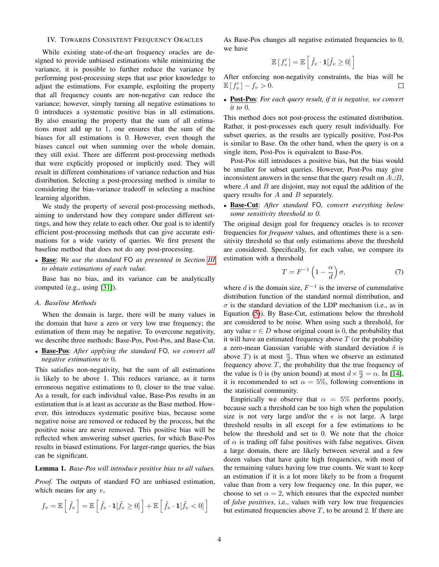#### <span id="page-3-0"></span>IV. TOWARDS CONSISTENT FREQUENCY ORACLES

While existing state-of-the-art frequency oracles are designed to provide unbiased estimations while minimizing the variance, it is possible to further reduce the variance by performing post-processing steps that use prior knowledge to adjust the estimations. For example, exploiting the property that all frequency counts are non-negative can reduce the variance; however, simply turning all negative estimations to 0 introduces a systematic positive bias in all estimations. By also ensuring the property that the sum of all estimations must add up to 1, one ensures that the sum of the biases for all estimations is 0. However, even though the biases cancel out when summing over the whole domain, they still exist. There are different post-processing methods that were explicitly proposed or implicitly used. They will result in different combinations of variance reduction and bias distribution. Selecting a post-processing method is similar to considering the bias-variance tradeoff in selecting a machine learning algorithm.

We study the property of several post-processing methods, aiming to understand how they compare under different settings, and how they relate to each other. Our goal is to identify efficient post-processing methods that can give accurate estimations for a wide variety of queries. We first present the baseline method that does not do any post-processing.

• Base: *We use the standard* FO *as presented in Section [III](#page-1-1) to obtain estimations of each value.*

Base has no bias, and its variance can be analytically computed (e.g., using [\[31\]](#page-14-1)).

#### *A. Baseline Methods*

When the domain is large, there will be many values in the domain that have a zero or very low true frequency; the estimation of them may be negative. To overcome negativity, we describe three methods: Base-Pos, Post-Pos, and Base-Cut.

• Base-Pos: *After applying the standard* FO*, we convert all negative estimations to* 0*.*

This satisfies non-negativity, but the sum of all estimations is likely to be above 1. This reduces variance, as it turns erroneous negative estimations to 0, closer to the true value. As a result, for each individual value, Base-Pos results in an estimation that is at least as accurate as the Base method. However, this introduces systematic positive bias, because some negative noise are removed or reduced by the process, but the positive noise are never removed. This positive bias will be reflected when answering subset queries, for which Base-Pos results in biased estimations. For larger-range queries, the bias can be significant.

## Lemma 1. *Base-Pos will introduce positive bias to all values.*

*Proof.* The outputs of standard FO are unbiased estimation, which means for any  $v$ ,

$$
f_v = \mathbb{E}\left[\tilde{f}_v\right] = \mathbb{E}\left[\tilde{f}_v \cdot \mathbf{1}[\tilde{f}_v \ge 0]\right] + \mathbb{E}\left[\tilde{f}_v \cdot \mathbf{1}[\tilde{f}_v < 0]\right]
$$

As Base-Pos changes all negative estimated frequencies to 0, we have

$$
\mathbb{E}\left[f'_{v}\right] = \mathbb{E}\left[\tilde{f}_{v} \cdot \mathbf{1}[\tilde{f}_{v} \geq 0]\right]
$$

After enforcing non-negativity constraints, the bias will be  $\mathbb{E}[f'_{v}] - f_{v} > 0.$  $\Box$ 

• Post-Pos: *For each query result, if it is negative, we convert it to* 0*.*

This method does not post-process the estimated distribution. Rather, it post-processes each query result individually. For subset queries, as the results are typically positive, Post-Pos is similar to Base. On the other hand, when the query is on a single item, Post-Pos is equivalent to Base-Pos.

Post-Pos still introduces a positive bias, but the bias would be smaller for subset queries. However, Post-Pos may give inconsistent answers in the sense that the query result on  $A \cup B$ , where  $A$  and  $B$  are disjoint, may not equal the addition of the query results for  $A$  and  $B$  separately.

• Base-Cut: *After standard* FO*, convert everything below some sensitivity threshold to 0.*

The original design goal for frequency oracles is to recover frequencies for *frequent* values, and oftentimes there is a sensitivity threshold so that only estimations above the threshold are considered. Specifically, for each value, we compare its estimation with a threshold

<span id="page-3-1"></span>
$$
T = F^{-1} \left( 1 - \frac{\alpha}{d} \right) \sigma,\tag{7}
$$

where d is the domain size,  $F^{-1}$  is the inverse of cummulative distribution function of the standard normal distribution, and  $\sigma$  is the standard deviation of the LDP mechanism (i.e., as in Equation [\(5\)](#page-2-2)). By Base-Cut, estimations below the threshold are considered to be noise. When using such a threshold, for any value  $v \in D$  whose original count is 0, the probability that it will have an estimated frequency above  $T$  (or the probability a zero-mean Gaussian variable with standard deviation  $\delta$  is above T) is at most  $\frac{\alpha}{d}$ . Thus when we observe an estimated frequency above  $T$ , the probability that the true frequency of the value is 0 is (by union bound) at most  $d \times \frac{\alpha}{d} = \alpha$ . In [\[14\]](#page-13-2), it is recommended to set  $\alpha = 5\%$ , following conventions in the statistical community.

Empirically we observe that  $\alpha = 5\%$  performs poorly, because such a threshold can be too high when the population size is not very large and/or the  $\epsilon$  is not large. A large threshold results in all except for a few estimations to be below the threshold and set to 0. We note that the choice of  $\alpha$  is trading off false positives with false negatives. Given a large domain, there are likely between several and a few dozen values that have quite high frequencies, with most of the remaining values having low true counts. We want to keep an estimation if it is a lot more likely to be from a frequent value than from a very low frequency one. In this paper, we choose to set  $\alpha = 2$ , which ensures that the expected number of *false positives*, i.e., values with very low true frequencies but estimated frequencies above  $T$ , to be around 2. If there are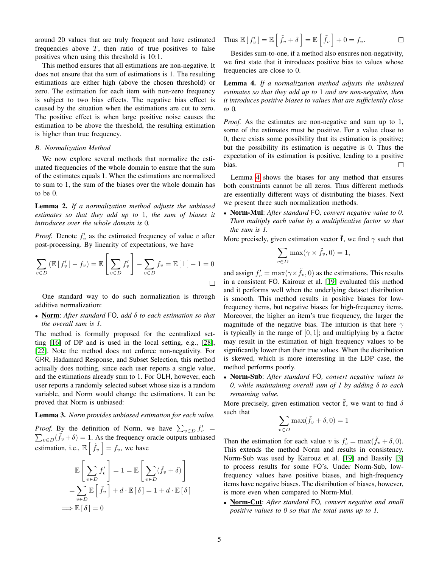around 20 values that are truly frequent and have estimated frequencies above  $T$ , then ratio of true positives to false positives when using this threshold is 10:1.

This method ensures that all estimations are non-negative. It does not ensure that the sum of estimations is 1. The resulting estimations are either high (above the chosen threshold) or zero. The estimation for each item with non-zero frequency is subject to two bias effects. The negative bias effect is caused by the situation when the estimations are cut to zero. The positive effect is when large positive noise causes the estimation to be above the threshold, the resulting estimation is higher than true frequency.

#### *B. Normalization Method*

We now explore several methods that normalize the estimated frequencies of the whole domain to ensure that the sum of the estimates equals 1. When the estimations are normalized to sum to 1, the sum of the biases over the whole domain has to be 0.

Lemma 2. *If a normalization method adjusts the unbiased estimates so that they add up to* 1*, the sum of biases it introduces over the whole domain is* 0*.*

*Proof.* Denote  $f'_v$  as the estimated frequency of value v after post-processing. By linearity of expectations, we have

$$
\sum_{v \in D} \left( \mathbb{E} \left[ f'_v \right] - f_v \right) = \mathbb{E} \left[ \sum_{v \in D} f'_v \right] - \sum_{v \in D} f_v = \mathbb{E} \left[ 1 \right] - 1 = 0
$$

One standard way to do such normalization is through additive normalization:

• Norm: *After standard* FO*, add* δ *to each estimation so that the overall sum is 1.*

The method is formally proposed for the centralized setting [\[16\]](#page-14-7) of DP and is used in the local setting, e.g., [\[28\]](#page-14-8), [\[22\]](#page-14-9). Note the method does not enforce non-negativity. For GRR, Hadamard Response, and Subset Selection, this method actually does nothing, since each user reports a single value, and the estimations already sum to 1. For OLH, however, each user reports a randomly selected subset whose size is a random variable, and Norm would change the estimations. It can be proved that Norm is unbiased:

#### Lemma 3. *Norm provides unbiased estimation for each value.*

*Proof.* By the definition of Norm, we have  $\sum_{v \in D} f'_v$  $\sum_{v \in D} (\tilde{f}_v + \delta) = 1$ . As the frequency oracle outputs unbiased estimation, i.e.,  $\mathbb{E} \left[ \tilde{f}_v \right] = f_v$ , we have

$$
\mathbb{E}\left[\sum_{v \in D} f'_v\right] = 1 = \mathbb{E}\left[\sum_{v \in D} (\tilde{f}_v + \delta)\right]
$$

$$
= \sum_{v \in D} \mathbb{E}\left[\tilde{f}_v\right] + d \cdot \mathbb{E}\left[\delta\right] = 1 + d \cdot \mathbb{E}\left[\delta\right]
$$

$$
\implies \mathbb{E}\left[\delta\right] = 0
$$

Thus 
$$
\mathbb{E}[f'_{v}] = \mathbb{E}[\tilde{f}_{v} + \delta] = \mathbb{E}[\tilde{f}_{v}] + 0 = f_{v}.
$$

Besides sum-to-one, if a method also ensures non-negativity, we first state that it introduces positive bias to values whose frequencies are close to 0.

<span id="page-4-0"></span>Lemma 4. *If a normalization method adjusts the unbiased estimates so that they add up to* 1 *and are non-negative, then it introduces positive biases to values that are sufficiently close to* 0*.*

*Proof.* As the estimates are non-negative and sum up to 1, some of the estimates must be positive. For a value close to 0, there exists some possibility that its estimation is positive; but the possibility its estimation is negative is 0. Thus the expectation of its estimation is positive, leading to a positive  $\Box$ bias.

Lemma [4](#page-4-0) shows the biases for any method that ensures both constraints cannot be all zeros. Thus different methods are essentially different ways of distributing the biases. Next we present three such normalization methods.

• Norm-Mul: *After standard* FO*, convert negative value to 0. Then multiply each value by a multiplicative factor so that the sum is 1.*

More precisely, given estimation vector  $\tilde{f}$ , we find  $\gamma$  such that

$$
\sum_{v \in D} \max(\gamma \times \tilde{f}_v, 0) = 1,
$$

and assign  $f'_v = \max(\gamma \times \tilde{f}_v, 0)$  as the estimations. This results in a consistent FO. Kairouz et al. [\[19\]](#page-14-10) evaluated this method and it performs well when the underlying dataset distribution is smooth. This method results in positive biases for lowfrequency items, but negative biases for high-frequency items. Moreover, the higher an item's true frequency, the larger the magnitude of the negative bias. The intuition is that here  $\gamma$ is typically in the range of  $[0, 1]$ ; and multiplying by a factor may result in the estimation of high frequency values to be significantly lower than their true values. When the distribution is skewed, which is more interesting in the LDP case, the method performs poorly.

• Norm-Sub: *After standard* FO*, convert negative values to 0, while maintaining overall sum of 1 by adding* δ *to each remaining value.*

More precisely, given estimation vector  $\tilde{f}$ , we want to find  $\delta$ such that

$$
\sum_{v \in D} \max(\tilde{f}_v + \delta, 0) = 1
$$

Then the estimation for each value v is  $f'_v = \max(\tilde{f}_v + \delta, 0)$ . This extends the method Norm and results in consistency. Norm-Sub was used by Kairouz et al. [\[19\]](#page-14-10) and Bassily [\[3\]](#page-13-9) to process results for some FO's. Under Norm-Sub, lowfrequency values have positive biases, and high-frequency items have negative biases. The distribution of biases, however, is more even when compared to Norm-Mul.

• Norm-Cut: *After standard* FO*, convert negative and small positive values to 0 so that the total sums up to 1.*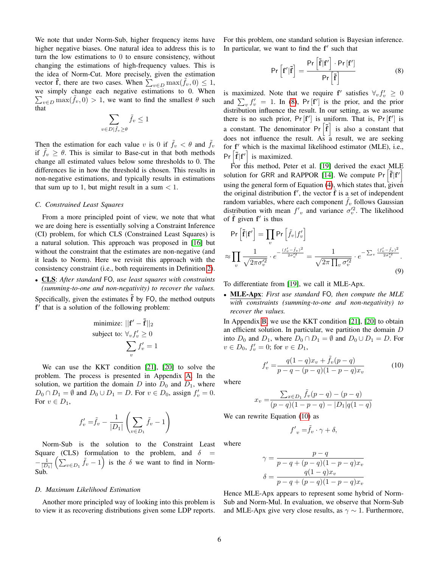We note that under Norm-Sub, higher frequency items have higher negative biases. One natural idea to address this is to turn the low estimations to 0 to ensure consistency, without changing the estimations of high-frequency values. This is the idea of Norm-Cut. More precisely, given the estimation vector  $\tilde{\mathbf{f}}$ , there are two cases. When  $\sum_{v \in D} \max(\tilde{f}_v, 0) \leq 1$ , we simply change each negative estimations to 0. When  $\sum_{v \in D} \max(\tilde{f}_v, 0) > 1$ , we want to find the smallest  $\theta$  such that

$$
\sum_{v \in D \mid \tilde{f}_v \ge \theta} \tilde{f}_v \le 1
$$

Then the estimation for each value v is 0 if  $\tilde{f}_v < \theta$  and  $\tilde{f}_v$ if  $f_v \geq \theta$ . This is similar to Base-cut in that both methods change all estimated values below some thresholds to 0. The differences lie in how the threshold is chosen. This results in non-negative estimations, and typically results in estimations that sum up to 1, but might result in a sum  $< 1$ .

#### *C. Constrained Least Squares*

From a more principled point of view, we note that what we are doing here is essentially solving a Constraint Inference (CI) problem, for which CLS (Constrained Least Squares) is a natural solution. This approach was proposed in [\[16\]](#page-14-7) but without the constraint that the estimates are non-negative (and it leads to Norm). Here we revisit this approach with the consistency constraint (i.e., both requirements in Definition [2\)](#page-1-3).

• CLS: *After standard* FO*, use least squares with constraints (summing-to-one and non-negativity) to recover the values.*

Specifically, given the estimates  $\tilde{f}$  by FO, the method outputs f' that is a solution of the following problem:

minimize: 
$$
||\mathbf{f}' - \tilde{\mathbf{f}}||_2
$$
  
subject to:  $\forall_v f'_v \ge 0$   

$$
\sum_v f'_v = 1
$$

We can use the KKT condition [\[21\]](#page-14-11), [\[20\]](#page-14-12) to solve the problem. The process is presented in Appendix [A.](#page-15-0) In the solution, we partition the domain  $D$  into  $D_0$  and  $D_1$ , where  $D_0 \cap D_1 = \emptyset$  and  $D_0 \cup D_1 = D$ . For  $v \in D_0$ , assign  $f'_v = 0$ . For  $v \in D_1$ ,

$$
f'_v = \tilde{f}_v - \frac{1}{|D_1|} \left( \sum_{v \in D_1} \tilde{f}_v - 1 \right)
$$

Norm-Sub is the solution to the Constraint Least Square (CLS) formulation to the problem, and  $\delta$  $-\frac{1}{|D_1|}\left(\sum_{v\in D_1} \tilde{f}_v - 1\right)$  is the  $\delta$  we want to find in Norm-Sub.

#### *D. Maximum Likelihood Estimation*

Another more principled way of looking into this problem is to view it as recovering distributions given some LDP reports. For this problem, one standard solution is Bayesian inference. In particular, we want to find the  $f'$  such that

<span id="page-5-0"></span>
$$
\Pr\left[\mathbf{f}'|\tilde{\mathbf{f}}\right] = \frac{\Pr\left[\tilde{\mathbf{f}}|\mathbf{f}'\right] \cdot \Pr\left[\mathbf{f}'\right]}{\Pr\left[\tilde{\mathbf{f}}\right]}
$$
\n(8)

is maximized. Note that we require  $f'$  satisfies  $\forall_v f'_v \geq 0$ and  $\sum_{v} f'_{v} = 1$ . In [\(8\)](#page-5-0), Pr [f'] is the prior, and the prior distribution influence the result. In our setting, as we assume there is no such prior,  $Pr[f']$  is uniform. That is,  $Pr[f']$  is a constant. The denominator  $Pr\left[\tilde{f}\right]$  is also a constant that does not influence the result. As  $a^2$  result, we are seeking for f' which is the maximal likelihood estimator (MLE), i.e.,  $Pr\left[\tilde{\mathbf{f}}|\mathbf{f}'\right]$  is maximized.

For this method, Peter et al. [\[19\]](#page-14-10) derived the exact MLE solution for GRR and RAPPOR [\[14\]](#page-13-2). We compute Pr  $\left[\tilde{f}|f'\right]$ using the general form of Equation [\(4\)](#page-2-1), which states that, given the original distribution  $f'$ , the vector  $\tilde{f}$  is a set of independent random variables, where each component  $f<sub>v</sub>$  follows Gaussian distribution with mean  $f'_v$  and variance  $\sigma_v'^2$ . The likelihood of  $\tilde{f}$  given  $f'$  is thus

$$
\Pr\left[\tilde{\mathbf{f}}|\mathbf{f}'\right] = \prod_{v} \Pr\left[\tilde{f}_v|f'_v\right]
$$

$$
\approx \prod_{v} \frac{1}{\sqrt{2\pi\sigma_v'^2}} \cdot e^{-\frac{(f'_v - \tilde{f}_v)^2}{2\sigma_v'^2}} = \frac{1}{\sqrt{2\pi}\prod_{v} \sigma_v'^2} \cdot e^{-\sum_{v} \frac{(f'_v - \tilde{f}_v)^2}{2\sigma_v'^2}}.
$$
(9)

To differentiate from [\[19\]](#page-14-10), we call it MLE-Apx.

• MLE-Apx: *First use standard* FO*, then compute the MLE with constraints (summing-to-one and non-negativity) to recover the values.*

In Appendix [B,](#page-15-1) we use the KKT condition [\[21\]](#page-14-11), [\[20\]](#page-14-12) to obtain an efficient solution. In particular, we partition the domain  $D$ into  $D_0$  and  $D_1$ , where  $D_0 \cap D_1 = \emptyset$  and  $D_0 \cup D_1 = D$ . For  $v \in D_0$ ,  $f'_v = 0$ ; for  $v \in D_1$ ,

<span id="page-5-2"></span>
$$
f_v' = \frac{q(1-q)x_v + \tilde{f}_v(p-q)}{p-q-(p-q)(1-p-q)x_v}
$$
(10)

where

$$
x_v = \frac{\sum_{x \in D_1} \tilde{f}_v(p-q) - (p-q)}{(p-q)(1-p-q) - |D_1|q(1-q)}
$$

We can rewrite Equation [\(10\)](#page-5-1) as

<span id="page-5-1"></span>
$$
f'_{v} = \tilde{f}_{v} \cdot \gamma + \delta,
$$

where

$$
\gamma = \frac{p - q}{p - q + (p - q)(1 - p - q)x_v} \n\delta = \frac{q(1 - q)x_v}{p - q + (p - q)(1 - p - q)x_v}
$$

Hence MLE-Apx appears to represent some hybrid of Norm-Sub and Norm-Mul. In evaluation, we observe that Norm-Sub and MLE-Apx give very close results, as  $\gamma \sim 1$ . Furthermore,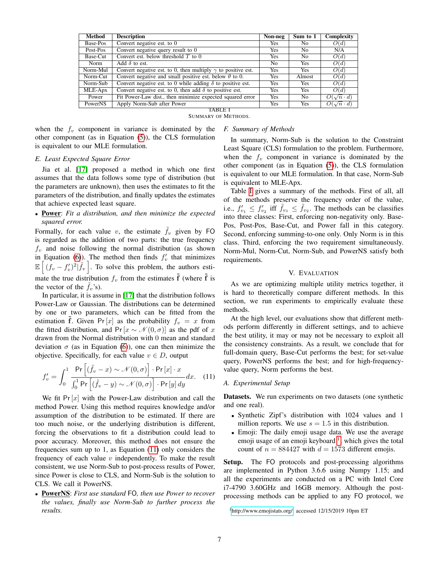| Method   | <b>Description</b>                                                  | Non-neg    | Sum to 1   | Complexity            |
|----------|---------------------------------------------------------------------|------------|------------|-----------------------|
| Base-Pos | Convert negative est. to 0                                          | Yes        | No.        | O(d)                  |
| Post-Pos | Convert negative query result to 0                                  | <b>Yes</b> | No.        | N/A                   |
| Base-Cut | Convert est, below threshold $T$ to 0                               | <b>Yes</b> | No.        | O(d)                  |
| Norm     | Add $\delta$ to est.                                                | No.        | <b>Yes</b> | O(d)                  |
| Norm-Mul | Convert negative est. to 0, then multiply $\gamma$ to positive est. | <b>Yes</b> | <b>Yes</b> | O(d)                  |
| Norm-Cut | Convert negative and small positive est. below $\theta$ to 0.       | <b>Yes</b> | Almost     | O(d)                  |
| Norm-Sub | Convert negative est. to 0 while adding $\delta$ to positive est.   | <b>Yes</b> | <b>Yes</b> | O(d)                  |
| MLE-Apx  | Convert negative est. to 0, then add $\delta$ to positive est.      | Yes        | <b>Yes</b> | O(d)                  |
| Power    | Fit Power-Law dist., then minimize expected squared error           | <b>Yes</b> | No.        | $O(\sqrt{n} \cdot d)$ |
| PowerNS  | Apply Norm-Sub after Power                                          | Yes        | Yes        | $O(\sqrt{n} \cdot d)$ |
| TABLE I  |                                                                     |            |            |                       |

SUMMARY OF METHODS.

when the  $f_v$  component in variance is dominated by the other component (as in Equation [\(5\)](#page-2-2)), the CLS formulation is equivalent to our MLE formulation.

## <span id="page-6-2"></span>*F. Summary of Methods*

## *E. Least Expected Square Error*

Jia et al. [\[17\]](#page-14-3) proposed a method in which one first assumes that the data follows some type of distribution (but the parameters are unknown), then uses the estimates to fit the parameters of the distribution, and finally updates the estimates that achieve expected least square.

• Power: *Fit a distribution, and then minimize the expected squared error.*

Formally, for each value v, the estimate  $f_v$  given by FO is regarded as the addition of two parts: the true frequency  $f<sub>v</sub>$  and noise following the normal distribution (as shown in Equation [\(6\)](#page-2-3)). The method then finds  $f'_v$  that minimizes  $\mathbb{E}\left[ (f_v - f'_v)^2 | \tilde{f}_v \right]$ . To solve this problem, the authors estimate the true distribution  $f_v$  from the estimates  $\tilde{f}$  (where  $\tilde{f}$  is the vector of the  $f_n$ 's).

In particular, it is assume in [\[17\]](#page-14-3) that the distribution follows Power-Law or Gaussian. The distributions can be determined by one or two parameters, which can be fitted from the estimation  $\tilde{f}$ . Given Pr [x] as the probability  $f_v = x$  from the fitted distribution, and Pr [ $x \sim \mathcal{N}(0, \sigma)$ ] as the pdf of x drawn from the Normal distribution with 0 mean and standard deviation  $\sigma$  (as in Equation [\(6\)](#page-2-3)), one can then minimize the objective. Specifically, for each value  $v \in D$ , output

$$
f'_{v} = \int_{0}^{1} \frac{\Pr\left[ (\tilde{f}_{v} - x) \sim \mathcal{N}(0, \sigma) \right] \cdot \Pr[x] \cdot x}{\int_{0}^{1} \Pr\left[ (\tilde{f}_{v} - y) \sim \mathcal{N}(0, \sigma) \right] \cdot \Pr[y] dy} dx.
$$
 (11)

We fit  $Pr[x]$  with the Power-Law distribution and call the method Power. Using this method requires knowledge and/or assumption of the distribution to be estimated. If there are too much noise, or the underlying distribution is different, forcing the observations to fit a distribution could lead to poor accuracy. Moreover, this method does not ensure the frequencies sum up to 1, as Equation [\(11\)](#page-6-1) only considers the frequency of each value  $v$  independently. To make the result consistent, we use Norm-Sub to post-process results of Power, since Power is close to CLS, and Norm-Sub is the solution to CLS. We call it PowerNS.

• PowerNS: *First use standard* FO*, then use Power to recover the values, finally use Norm-Sub to further process the results.*

In summary, Norm-Sub is the solution to the Constraint Least Square (CLS) formulation to the problem. Furthermore, when the  $f_v$  component in variance is dominated by the other component (as in Equation [\(5\)](#page-2-2)), the CLS formulation is equivalent to our MLE formulation. In that case, Norm-Sub is equivalent to MLE-Apx.

Table [I](#page-6-2) gives a summary of the methods. First of all, all of the methods preserve the frequency order of the value, i.e.,  $f'_{v_1} \leq f'_{v_2}$  iff  $\tilde{f}_{v_1} \leq \tilde{f}_{v_2}$ . The methods can be classifies into three classes: First, enforcing non-negativity only. Base-Pos, Post-Pos, Base-Cut, and Power fall in this category. Second, enforcing summing-to-one only. Only Norm is in this class. Third, enforcing the two requirement simultaneously. Norm-Mul, Norm-Cut, Norm-Sub, and PowerNS satisfy both requirements.

## V. EVALUATION

<span id="page-6-0"></span>As we are optimizing multiple utility metrics together, it is hard to theoretically compare different methods. In this section, we run experiments to empirically evaluate these methods.

At the high level, our evaluations show that different methods perform differently in different settings, and to achieve the best utility, it may or may not be necessary to exploit all the consistency constraints. As a result, we conclude that for full-domain query, Base-Cut performs the best; for set-value query, PowerNS performs the best; and for high-frequencyvalue query, Norm performs the best.

## <span id="page-6-1"></span>*A. Experimental Setup*

Datasets. We run experiments on two datasets (one synthetic and one real).

- Synthetic Zipf's distribution with 1024 values and 1 million reports. We use  $s = 1.5$  in this distribution.
- Emoji: The daily emoji usage data. We use the average emoji usage of an emoji keyboard<sup>[1](#page-6-3)</sup>, which gives the total count of  $n = 884427$  with  $d = 1573$  different emojis.

Setup. The FO protocols and post-processing algorithms are implemented in Python 3.6.6 using Numpy 1.15; and all the experiments are conducted on a PC with Intel Core i7-4790 3.60GHz and 16GB memory. Although the postprocessing methods can be applied to any FO protocol, we

<span id="page-6-3"></span><sup>1</sup>[http://www.emojistats.org/,](http://www.emojistats.org/) accessed 12/15/2019 10pm ET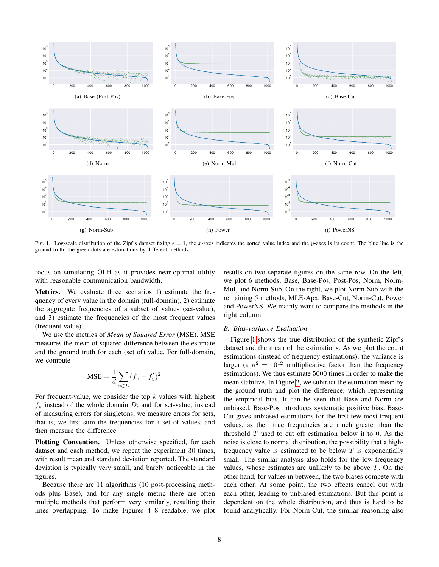

Fig. 1. Log-scale distribution of the Zipf's dataset fixing  $\epsilon = 1$ , the x-axes indicates the sorted value index and the y-axes is its count. The blue line is the ground truth; the green dots are estimations by different methods.

focus on simulating OLH as it provides near-optimal utility with reasonable communication bandwidth.

Metrics. We evaluate three scenarios 1) estimate the frequency of every value in the domain (full-domain), 2) estimate the aggregate frequencies of a subset of values (set-value), and 3) estimate the frequencies of the most frequent values (frequent-value).

We use the metrics of *Mean of Squared Error* (MSE). MSE measures the mean of squared difference between the estimate and the ground truth for each (set of) value. For full-domain, we compute

$$
\text{MSE} = \frac{1}{d} \sum_{v \in D} (f_v - f'_v)^2.
$$

For frequent-value, we consider the top  $k$  values with highest  $f_v$  instead of the whole domain D; and for set-value, instead of measuring errors for singletons, we measure errors for sets, that is, we first sum the frequencies for a set of values, and then measure the difference.

Plotting Convention. Unless otherwise specified, for each dataset and each method, we repeat the experiment 30 times, with result mean and standard deviation reported. The standard deviation is typically very small, and barely noticeable in the figures.

Because there are 11 algorithms (10 post-processing methods plus Base), and for any single metric there are often multiple methods that perform very similarly, resulting their lines overlapping. To make Figures 4–8 readable, we plot <span id="page-7-0"></span>results on two separate figures on the same row. On the left, we plot 6 methods, Base, Base-Pos, Post-Pos, Norm, Norm-Mul, and Norm-Sub. On the right, we plot Norm-Sub with the remaining 5 methods, MLE-Apx, Base-Cut, Norm-Cut, Power and PowerNS. We mainly want to compare the methods in the right column.

#### *B. Bias-variance Evaluation*

Figure [1](#page-7-0) shows the true distribution of the synthetic Zipf's dataset and the mean of the estimations. As we plot the count estimations (instead of frequency estimations), the variance is larger (a  $n^2 = 10^{12}$  multiplicative factor than the frequency estimations). We thus estimate 5000 times in order to make the mean stabilize. In Figure [2,](#page-8-0) we subtract the estimation mean by the ground truth and plot the difference, which representing the empirical bias. It can be seen that Base and Norm are unbiased. Base-Pos introduces systematic positive bias. Base-Cut gives unbiased estimations for the first few most frequent values, as their true frequencies are much greater than the threshold  $T$  used to cut off estimation below it to 0. As the noise is close to normal distribution, the possibility that a highfrequency value is estimated to be below  $T$  is exponentially small. The similar analysis also holds for the low-frequency values, whose estimates are unlikely to be above  $T$ . On the other hand, for values in between, the two biases compete with each other. At some point, the two effects cancel out with each other, leading to unbiased estimations. But this point is dependent on the whole distribution, and thus is hard to be found analytically. For Norm-Cut, the similar reasoning also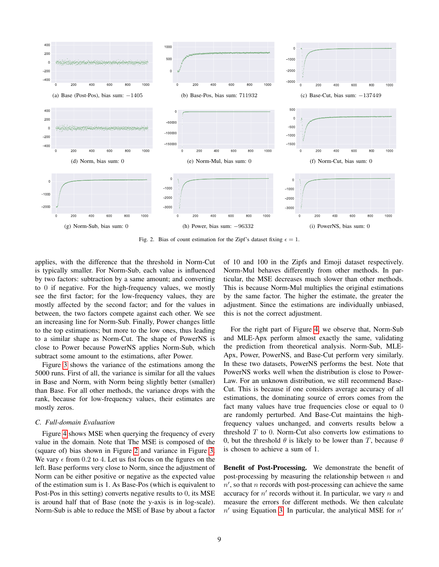

Fig. 2. Bias of count estimation for the Zipf's dataset fixing  $\epsilon = 1$ .

applies, with the difference that the threshold in Norm-Cut is typically smaller. For Norm-Sub, each value is influenced by two factors: subtraction by a same amount; and converting to 0 if negative. For the high-frequency values, we mostly see the first factor; for the low-frequency values, they are mostly affected by the second factor; and for the values in between, the two factors compete against each other. We see an increasing line for Norm-Sub. Finally, Power changes little to the top estimations; but more to the low ones, thus leading to a similar shape as Norm-Cut. The shape of PowerNS is close to Power because PowerNS applies Norm-Sub, which subtract some amount to the estimations, after Power.

Figure [3](#page-9-0) shows the variance of the estimations among the 5000 runs. First of all, the variance is similar for all the values in Base and Norm, with Norm being slightly better (smaller) than Base. For all other methods, the variance drops with the rank, because for low-frequency values, their estimates are mostly zeros.

## *C. Full-domain Evaluation*

Figure [4](#page-10-0) shows MSE when querying the frequency of every value in the domain. Note that The MSE is composed of the (square of) bias shown in Figure [2](#page-8-0) and variance in Figure [3.](#page-9-0) We vary  $\epsilon$  from 0.2 to 4. Let us fist focus on the figures on the left. Base performs very close to Norm, since the adjustment of Norm can be either positive or negative as the expected value of the estimation sum is 1. As Base-Pos (which is equivalent to Post-Pos in this setting) converts negative results to 0, its MSE is around half that of Base (note the y-axis is in log-scale). Norm-Sub is able to reduce the MSE of Base by about a factor <span id="page-8-0"></span>of 10 and 100 in the Zipfs and Emoji dataset respectively. Norm-Mul behaves differently from other methods. In particular, the MSE decreases much slower than other methods. This is because Norm-Mul multiplies the original estimations by the same factor. The higher the estimate, the greater the adjustment. Since the estimations are individually unbiased, this is not the correct adjustment.

For the right part of Figure [4,](#page-10-0) we observe that, Norm-Sub and MLE-Apx perform almost exactly the same, validating the prediction from theoretical analysis. Norm-Sub, MLE-Apx, Power, PowerNS, and Base-Cut perform very similarly. In these two datasets, PowerNS performs the best. Note that PowerNS works well when the distribution is close to Power-Law. For an unknown distribution, we still recommend Base-Cut. This is because if one considers average accuracy of all estimations, the dominating source of errors comes from the fact many values have true frequencies close or equal to 0 are randomly perturbed. And Base-Cut maintains the highfrequency values unchanged, and converts results below a threshold  $T$  to 0. Norm-Cut also converts low estimations to 0, but the threshold  $\theta$  is likely to be lower than T, because  $\theta$ is chosen to achieve a sum of 1.

Benefit of Post-Processing. We demonstrate the benefit of post-processing by measuring the relationship between  $n$  and  $n'$ , so that n records with post-processing can achieve the same accuracy for  $n'$  records without it. In particular, we vary  $n$  and measure the errors for different methods. We then calculate  $n'$  using Equation [3.](#page-2-0) In particular, the analytical MSE for  $n'$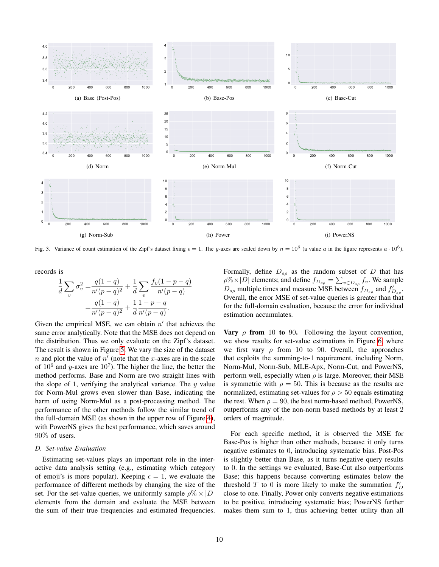

Fig. 3. Variance of count estimation of the Zipf's dataset fixing  $\epsilon = 1$ . The y-axes are scaled down by  $n = 10^6$  (a value a in the figure represents  $a \cdot 10^6$ ).

records is

$$
\frac{1}{d} \sum_{v} \sigma_v^2 = \frac{q(1-q)}{n'(p-q)^2} + \frac{1}{d} \sum_{v} \frac{f_v(1-p-q)}{n'(p-q)}
$$

$$
= \frac{q(1-q)}{n'(p-q)^2} + \frac{1}{d} \frac{1-p-q}{n'(p-q)}.
$$

Given the empirical MSE, we can obtain  $n'$  that achieves the same error analytically. Note that the MSE does not depend on the distribution. Thus we only evaluate on the Zipf's dataset. The result is shown in Figure [5.](#page-10-1) We vary the size of the dataset  $n$  and plot the value of  $n'$  (note that the x-axes are in the scale of  $10^6$  and y-axes are  $10^7$ ). The higher the line, the better the method performs. Base and Norm are two straight lines with the slope of 1, verifying the analytical variance. The  $y$  value for Norm-Mul grows even slower than Base, indicating the harm of using Norm-Mul as a post-processing method. The performance of the other methods follow the similar trend of the full-domain MSE (as shown in the upper row of Figure [4\)](#page-10-0), with PowerNS gives the best performance, which saves around 90% of users.

## *D. Set-value Evaluation*

Estimating set-values plays an important role in the interactive data analysis setting (e.g., estimating which category of emoji's is more popular). Keeping  $\epsilon = 1$ , we evaluate the performance of different methods by changing the size of the set. For the set-value queries, we uniformly sample  $\rho\% \times |D|$ elements from the domain and evaluate the MSE between the sum of their true frequencies and estimated frequencies. <span id="page-9-0"></span>Formally, define  $D_{s\rho}$  as the random subset of D that has  $\rho\% \times |D|$  elements; and define  $f_{D_{s\rho}} = \sum_{v \in D_{s\rho}} f_v$ . We sample  $D_{s\rho}$  multiple times and measure MSE between  $f_{D_{s\rho}}$  and  $f'_{D_{s\rho}}$ . Overall, the error MSE of set-value queries is greater than that for the full-domain evaluation, because the error for individual estimation accumulates.

**Vary**  $\rho$  from 10 to 90. Following the layout convention, we show results for set-value estimations in Figure [6,](#page-11-0) where we first vary  $\rho$  from 10 to 90. Overall, the approaches that exploits the summing-to-1 requirement, including Norm, Norm-Mul, Norm-Sub, MLE-Apx, Norm-Cut, and PowerNS, perform well, especially when  $\rho$  is large. Moreover, their MSE is symmetric with  $\rho = 50$ . This is because as the results are normalized, estimating set-values for  $\rho > 50$  equals estimating the rest. When  $\rho = 90$ , the best norm-based method, PowerNS, outperforms any of the non-norm based methods by at least 2 orders of magnitude.

For each specific method, it is observed the MSE for Base-Pos is higher than other methods, because it only turns negative estimates to 0, introducing systematic bias. Post-Pos is slightly better than Base, as it turns negative query results to 0. In the settings we evaluated, Base-Cut also outperforms Base; this happens because converting estimates below the threshold  $T$  to 0 is more likely to make the summation  $f'_D$ close to one. Finally, Power only converts negative estimations to be positive, introducing systematic bias; PowerNS further makes them sum to 1, thus achieving better utility than all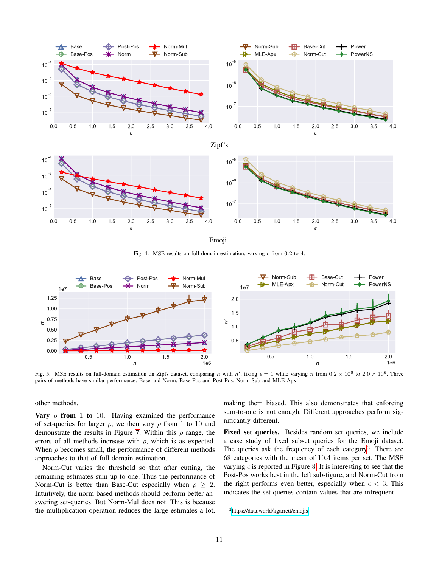

<span id="page-10-0"></span>Emoji

Fig. 4. MSE results on full-domain estimation, varying  $\epsilon$  from 0.2 to 4.



Fig. 5. MSE results on full-domain estimation on Zipfs dataset, comparing n with  $n'$ , fixing  $\epsilon = 1$  while varying n from  $0.2 \times 10^6$  to  $2.0 \times 10^6$ . Three pairs of methods have similar performance: Base and Norm, Base-Pos and Post-Pos, Norm-Sub and MLE-Apx.

other methods.

**Vary**  $\rho$  from 1 to 10. Having examined the performance of set-queries for larger  $\rho$ , we then vary  $\rho$  from 1 to 10 and demonstrate the results in Figure [7.](#page-12-0) Within this  $\rho$  range, the errors of all methods increase with  $\rho$ , which is as expected. When  $\rho$  becomes small, the performance of different methods approaches to that of full-domain estimation.

Norm-Cut varies the threshold so that after cutting, the remaining estimates sum up to one. Thus the performance of Norm-Cut is better than Base-Cut especially when  $\rho \geq 2$ . Intuitively, the norm-based methods should perform better answering set-queries. But Norm-Mul does not. This is because the multiplication operation reduces the large estimates a lot, <span id="page-10-1"></span>making them biased. This also demonstrates that enforcing sum-to-one is not enough. Different approaches perform significantly different.

Fixed set queries. Besides random set queries, we include a case study of fixed subset queries for the Emoji dataset. The queries ask the frequency of each category<sup>[2](#page-10-2)</sup>. There are 68 categories with the mean of 10.4 items per set. The MSE varying  $\epsilon$  is reported in Figure [8.](#page-12-1) It is interesting to see that the Post-Pos works best in the left sub-figure, and Norm-Cut from the right performs even better, especially when  $\epsilon < 3$ . This indicates the set-queries contain values that are infrequent.

<span id="page-10-2"></span><sup>2</sup><https://data.world/kgarrett/emojis>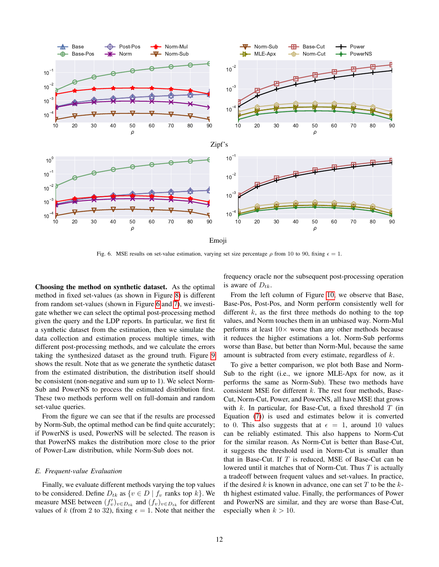

Fig. 6. MSE results on set-value estimation, varying set size percentage  $\rho$  from 10 to 90, fixing  $\epsilon = 1$ .

Choosing the method on synthetic dataset. As the optimal method in fixed set-values (as shown in Figure [8\)](#page-12-1) is different from random set-values (shown in Figure [6](#page-11-0) and [7\)](#page-12-0), we investigate whether we can select the optimal post-processing method given the query and the LDP reports. In particular, we first fit a synthetic dataset from the estimation, then we simulate the data collection and estimation process multiple times, with different post-processing methods, and we calculate the errors taking the synthesized dataset as the ground truth. Figure [9](#page-13-10) shows the result. Note that as we generate the synthetic dataset from the estimated distribution, the distribution itself should be consistent (non-negative and sum up to 1). We select Norm-Sub and PowerNS to process the estimated distribution first. These two methods perform well on full-domain and random set-value queries.

From the figure we can see that if the results are processed by Norm-Sub, the optimal method can be find quite accurately; if PowerNS is used, PowerNS will be selected. The reason is that PowerNS makes the distribution more close to the prior of Power-Law distribution, while Norm-Sub does not.

#### *E. Frequent-value Evaluation*

Finally, we evaluate different methods varying the top values to be considered. Define  $D_{tk}$  as  $\{v \in D \mid f_v \}$  ranks top  $k\}$ . We measure MSE between  $(f'_v)_{v \in D_{tk}}$  and  $(f_v)_{v \in D_{tk}}$  for different values of k (from 2 to 32), fixing  $\epsilon = 1$ . Note that neither the

<span id="page-11-0"></span>frequency oracle nor the subsequent post-processing operation is aware of  $D_{tk}$ .

From the left column of Figure [10,](#page-14-13) we observe that Base, Base-Pos, Post-Pos, and Norm perform consistently well for different  $k$ , as the first three methods do nothing to the top values, and Norm touches them in an unbiased way. Norm-Mul performs at least  $10\times$  worse than any other methods because it reduces the higher estimations a lot. Norm-Sub performs worse than Base, but better than Norm-Mul, because the same amount is subtracted from every estimate, regardless of k.

To give a better comparison, we plot both Base and Norm-Sub to the right (i.e., we ignore MLE-Apx for now, as it performs the same as Norm-Sub). These two methods have consistent MSE for different  $k$ . The rest four methods, Base-Cut, Norm-Cut, Power, and PowerNS, all have MSE that grows with k. In particular, for Base-Cut, a fixed threshold  $T$  (in Equation [\(7\)](#page-3-1)) is used and estimates below it is converted to 0. This also suggests that at  $\epsilon = 1$ , around 10 values can be reliably estimated. This also happens to Norm-Cut for the similar reason. As Norm-Cut is better than Base-Cut, it suggests the threshold used in Norm-Cut is smaller than that in Base-Cut. If  $T$  is reduced, MSE of Base-Cut can be lowered until it matches that of Norm-Cut. Thus  $T$  is actually a tradeoff between frequent values and set-values. In practice, if the desired k is known in advance, one can set  $T$  to be the  $k$ th highest estimated value. Finally, the performances of Power and PowerNS are similar, and they are worse than Base-Cut, especially when  $k > 10$ .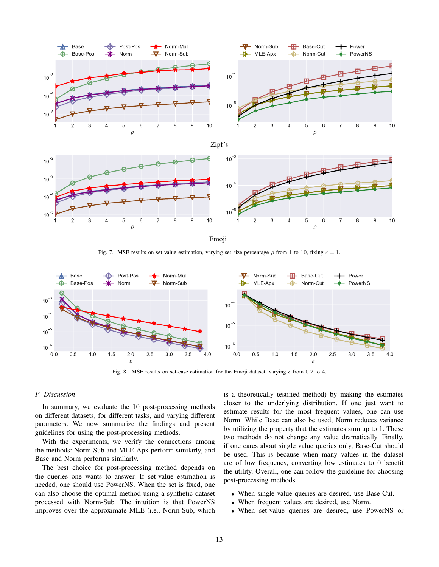

<span id="page-12-0"></span>Emoji

Fig. 7. MSE results on set-value estimation, varying set size percentage  $\rho$  from 1 to 10, fixing  $\epsilon = 1$ .



Fig. 8. MSE results on set-case estimation for the Emoji dataset, varying  $\epsilon$  from 0.2 to 4.

## *F. Discussion*

In summary, we evaluate the 10 post-processing methods on different datasets, for different tasks, and varying different parameters. We now summarize the findings and present guidelines for using the post-processing methods.

With the experiments, we verify the connections among the methods: Norm-Sub and MLE-Apx perform similarly, and Base and Norm performs similarly.

The best choice for post-processing method depends on the queries one wants to answer. If set-value estimation is needed, one should use PowerNS. When the set is fixed, one can also choose the optimal method using a synthetic dataset processed with Norm-Sub. The intuition is that PowerNS improves over the approximate MLE (i.e., Norm-Sub, which <span id="page-12-1"></span>is a theoretically testified method) by making the estimates closer to the underlying distribution. If one just want to estimate results for the most frequent values, one can use Norm. While Base can also be used, Norm reduces variance by utilizing the property that the estimates sum up to 1. These two methods do not change any value dramatically. Finally, if one cares about single value queries only, Base-Cut should be used. This is because when many values in the dataset are of low frequency, converting low estimates to 0 benefit the utility. Overall, one can follow the guideline for choosing post-processing methods.

- When single value queries are desired, use Base-Cut.
- When frequent values are desired, use Norm.
- When set-value queries are desired, use PowerNS or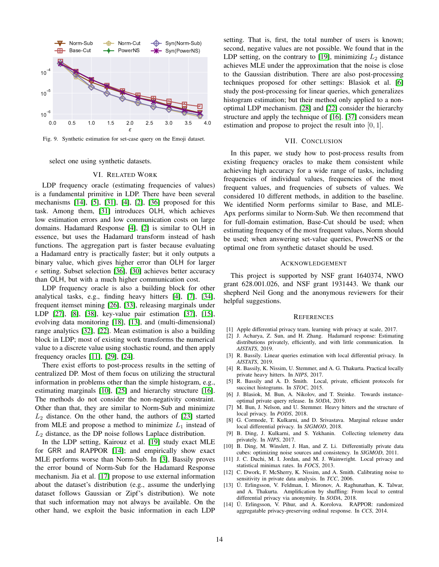

Fig. 9. Synthetic estimation for set-case query on the Emoji dataset.

select one using synthetic datasets.

#### <span id="page-13-10"></span>VI. RELATED WORK

<span id="page-13-6"></span>LDP frequency oracle (estimating frequencies of values) is a fundamental primitive in LDP. There have been several mechanisms [\[14\]](#page-13-2), [\[5\]](#page-13-4), [\[31\]](#page-14-1), [\[4\]](#page-13-8), [\[2\]](#page-13-5), [\[36\]](#page-14-2) proposed for this task. Among them, [\[31\]](#page-14-1) introduces OLH, which achieves low estimation errors and low communication costs on large domains. Hadamard Response [\[4\]](#page-13-8), [\[2\]](#page-13-5) is similar to OLH in essence, but uses the Hadamard transform instead of hash functions. The aggregation part is faster because evaluating a Hadamard entry is practically faster; but it only outputs a binary value, which gives higher error than OLH for larger  $\epsilon$  setting. Subset selection [\[36\]](#page-14-2), [\[30\]](#page-14-6) achieves better accuracy than OLH, but with a much higher communication cost.

LDP frequency oracle is also a building block for other analytical tasks, e.g., finding heavy hitters [\[4\]](#page-13-8), [\[7\]](#page-13-11), [\[34\]](#page-14-14), frequent itemset mining [\[26\]](#page-14-15), [\[33\]](#page-14-16), releasing marginals under LDP [\[27\]](#page-14-17), [\[8\]](#page-13-12), [\[38\]](#page-14-4), key-value pair estimation [\[37\]](#page-14-18), [\[15\]](#page-14-19), evolving data monitoring [\[18\]](#page-14-20), [\[13\]](#page-13-13), and (multi-dimensional) range analytics [\[32\]](#page-14-0), [\[22\]](#page-14-9). Mean estimation is also a building block in LDP; most of existing work transforms the numerical value to a discrete value using stochastic round, and then apply frequency oracles [\[11\]](#page-13-14), [\[29\]](#page-14-21), [\[24\]](#page-14-22).

There exist efforts to post-process results in the setting of centralized DP. Most of them focus on utilizing the structural information in problems other than the simple histogram, e.g., estimating marginals [\[10\]](#page-13-15), [\[25\]](#page-14-23) and hierarchy structure [\[16\]](#page-14-7). The methods do not consider the non-negativity constraint. Other than that, they are similar to Norm-Sub and minimize  $L_2$  distance. On the other hand, the authors of [\[23\]](#page-14-24) started from MLE and propose a method to minimize  $L_1$  instead of  $L_2$  distance, as the DP noise follows Laplace distribution.

In the LDP setting, Kairouz et al. [\[19\]](#page-14-10) study exact MLE for GRR and RAPPOR [\[14\]](#page-13-2); and empirically show exact MLE performs worse than Norm-Sub. In [\[3\]](#page-13-9), Bassily proves the error bound of Norm-Sub for the Hadamard Response mechanism. Jia et al. [\[17\]](#page-14-3) propose to use external information about the dataset's distribution (e.g., assume the underlying dataset follows Gaussian or Zipf's distribution). We note that such information may not always be available. On the other hand, we exploit the basic information in each LDP setting. That is, first, the total number of users is known; second, negative values are not possible. We found that in the LDP setting, on the contrary to [\[19\]](#page-14-10), minimizing  $L_2$  distance achieves MLE under the approximation that the noise is close to the Gaussian distribution. There are also post-processing techniques proposed for other settings: Blasiok et al. [\[6\]](#page-13-16) study the post-processing for linear queries, which generalizes histogram estimation; but their method only applied to a nonoptimal LDP mechanism. [\[28\]](#page-14-8) and [\[22\]](#page-14-9) consider the hierarchy structure and apply the technique of [\[16\]](#page-14-7). [\[37\]](#page-14-18) considers mean estimation and propose to project the result into [0, 1].

#### VII. CONCLUSION

<span id="page-13-7"></span>In this paper, we study how to post-process results from existing frequency oracles to make them consistent while achieving high accuracy for a wide range of tasks, including frequencies of individual values, frequencies of the most frequent values, and frequencies of subsets of values. We considered 10 different methods, in addition to the baseline. We identified Norm performs similar to Base, and MLE-Apx performs similar to Norm-Sub. We then recommend that for full-domain estimation, Base-Cut should be used; when estimating frequency of the most frequent values, Norm should be used; when answering set-value queries, PowerNS or the optimal one from synthetic dataset should be used.

#### ACKNOWLEDGEMENT

This project is supported by NSF grant 1640374, NWO grant 628.001.026, and NSF grant 1931443. We thank our shepherd Neil Gong and the anonymous reviewers for their helpful suggestions.

#### **REFERENCES**

- <span id="page-13-1"></span>[1] Apple differential privacy team, learning with privacy at scale, 2017.
- <span id="page-13-5"></span>[2] J. Acharya, Z. Sun, and H. Zhang. Hadamard response: Estimating distributions privately, efficiently, and with little communication. In *AISTATS*, 2019.
- <span id="page-13-9"></span>[3] R. Bassily. Linear queries estimation with local differential privacy. In *AISTATS*, 2019.
- <span id="page-13-8"></span>[4] R. Bassily, K. Nissim, U. Stemmer, and A. G. Thakurta. Practical locally private heavy hitters. In *NIPS*, 2017.
- <span id="page-13-4"></span>[5] R. Bassily and A. D. Smith. Local, private, efficient protocols for succinct histograms. In *STOC*, 2015.
- <span id="page-13-16"></span>[6] J. Blasiok, M. Bun, A. Nikolov, and T. Steinke. Towards instanceoptimal private query release. In *SODA*, 2019.
- <span id="page-13-11"></span>[7] M. Bun, J. Nelson, and U. Stemmer. Heavy hitters and the structure of local privacy. In *PODS*, 2018.
- <span id="page-13-12"></span>[8] G. Cormode, T. Kulkarni, and D. Srivastava. Marginal release under local differential privacy. In *SIGMOD*, 2018.
- <span id="page-13-3"></span>[9] B. Ding, J. Kulkarni, and S. Yekhanin. Collecting telemetry data privately. In *NIPS*, 2017.
- <span id="page-13-15"></span>[10] B. Ding, M. Winslett, J. Han, and Z. Li. Differentially private data cubes: optimizing noise sources and consistency. In *SIGMOD*, 2011.
- <span id="page-13-14"></span>[11] J. C. Duchi, M. I. Jordan, and M. J. Wainwright. Local privacy and statistical minimax rates. In *FOCS*, 2013.
- <span id="page-13-0"></span>[12] C. Dwork, F. McSherry, K. Nissim, and A. Smith. Calibrating noise to sensitivity in private data analysis. In *TCC*, 2006.
- <span id="page-13-13"></span>[13] Ú. Erlingsson, V. Feldman, I. Mironov, A. Raghunathan, K. Talwar, and A. Thakurta. Amplification by shuffling: From local to central differential privacy via anonymity. In *SODA*, 2018.
- <span id="page-13-2"></span>[14] Ú. Erlingsson, V. Pihur, and A. Korolova. RAPPOR: randomized aggregatable privacy-preserving ordinal response. In *CCS*, 2014.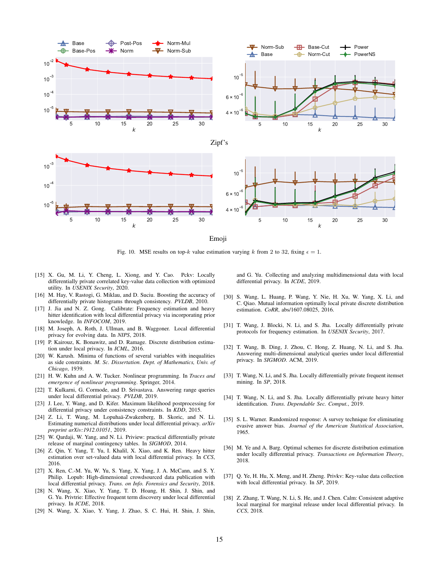

<span id="page-14-13"></span>Emoji

Fig. 10. MSE results on top-k value estimation varying k from 2 to 32, fixing  $\epsilon = 1$ .

- <span id="page-14-19"></span>[15] X. Gu, M. Li, Y. Cheng, L. Xiong, and Y. Cao. Pckv: Locally differentially private correlated key-value data collection with optimized utility. In *USENIX Security*, 2020.
- <span id="page-14-7"></span>[16] M. Hay, V. Rastogi, G. Miklau, and D. Suciu. Boosting the accuracy of differentially private histograms through consistency. *PVLDB*, 2010.
- <span id="page-14-3"></span>[17] J. Jia and N. Z. Gong. Calibrate: Frequency estimation and heavy hitter identification with local differential privacy via incorporating prior knowledge. In *INFOCOM*, 2019.
- <span id="page-14-20"></span>[18] M. Joseph, A. Roth, J. Ullman, and B. Waggoner. Local differential privacy for evolving data. In *NIPS*, 2018.
- <span id="page-14-10"></span>[19] P. Kairouz, K. Bonawitz, and D. Ramage. Discrete distribution estimation under local privacy. In *ICML*, 2016.
- <span id="page-14-12"></span>[20] W. Karush. Minima of functions of several variables with inequalities as side constraints. *M. Sc. Dissertation. Dept. of Mathematics, Univ. of Chicago*, 1939.
- <span id="page-14-11"></span>[21] H. W. Kuhn and A. W. Tucker. Nonlinear programming. In *Traces and emergence of nonlinear programming*. Springer, 2014.
- <span id="page-14-9"></span>[22] T. Kulkarni, G. Cormode, and D. Srivastava. Answering range queries under local differential privacy. *PVLDB*, 2019.
- <span id="page-14-24"></span>[23] J. Lee, Y. Wang, and D. Kifer. Maximum likelihood postprocessing for differential privacy under consistency constraints. In *KDD*, 2015.
- <span id="page-14-22"></span>[24] Z. Li, T. Wang, M. Lopuhaä-Zwakenberg, B. Skoric, and N. Li. Estimating numerical distributions under local differential privacy. *arXiv preprint arXiv:1912.01051*, 2019.
- <span id="page-14-23"></span>[25] W. Qardaji, W. Yang, and N. Li. Priview: practical differentially private release of marginal contingency tables. In *SIGMOD*, 2014.
- <span id="page-14-15"></span>[26] Z. Qin, Y. Yang, T. Yu, I. Khalil, X. Xiao, and K. Ren. Heavy hitter estimation over set-valued data with local differential privacy. In *CCS*, 2016.
- <span id="page-14-17"></span>[27] X. Ren, C.-M. Yu, W. Yu, S. Yang, X. Yang, J. A. McCann, and S. Y. Philip. Lopub: High-dimensional crowdsourced data publication with local differential privacy. *Trans. on Info. Forensics and Security*, 2018.
- <span id="page-14-8"></span>[28] N. Wang, X. Xiao, Y. Yang, T. D. Hoang, H. Shin, J. Shin, and G. Yu. Privtrie: Effective frequent term discovery under local differential privacy. In *ICDE*, 2018.
- <span id="page-14-21"></span>[29] N. Wang, X. Xiao, Y. Yang, J. Zhao, S. C. Hui, H. Shin, J. Shin,

and G. Yu. Collecting and analyzing multidimensional data with local differential privacy. In *ICDE*, 2019.

- <span id="page-14-6"></span>[30] S. Wang, L. Huang, P. Wang, Y. Nie, H. Xu, W. Yang, X. Li, and C. Qiao. Mutual information optimally local private discrete distribution estimation. *CoRR*, abs/1607.08025, 2016.
- <span id="page-14-1"></span>[31] T. Wang, J. Blocki, N. Li, and S. Jha. Locally differentially private protocols for frequency estimation. In *USENIX Security*, 2017.
- <span id="page-14-0"></span>[32] T. Wang, B. Ding, J. Zhou, C. Hong, Z. Huang, N. Li, and S. Jha. Answering multi-dimensional analytical queries under local differential privacy. In *SIGMOD*. ACM, 2019.
- <span id="page-14-16"></span>[33] T. Wang, N. Li, and S. Jha. Locally differentially private frequent itemset mining. In *SP*, 2018.
- <span id="page-14-14"></span>[34] T. Wang, N. Li, and S. Jha. Locally differentially private heavy hitter identification. *Trans. Dependable Sec. Comput.*, 2019.
- <span id="page-14-5"></span>[35] S. L. Warner. Randomized response: A survey technique for eliminating evasive answer bias. *Journal of the American Statistical Association*, 1965.
- <span id="page-14-2"></span>[36] M. Ye and A. Barg. Optimal schemes for discrete distribution estimation under locally differential privacy. *Transactions on Information Theory*, 2018.
- <span id="page-14-18"></span>[37] Q. Ye, H. Hu, X. Meng, and H. Zheng. Privkv: Key-value data collection with local differential privacy. In *SP*, 2019.
- <span id="page-14-4"></span>[38] Z. Zhang, T. Wang, N. Li, S. He, and J. Chen. Calm: Consistent adaptive local marginal for marginal release under local differential privacy. In *CCS*, 2018.